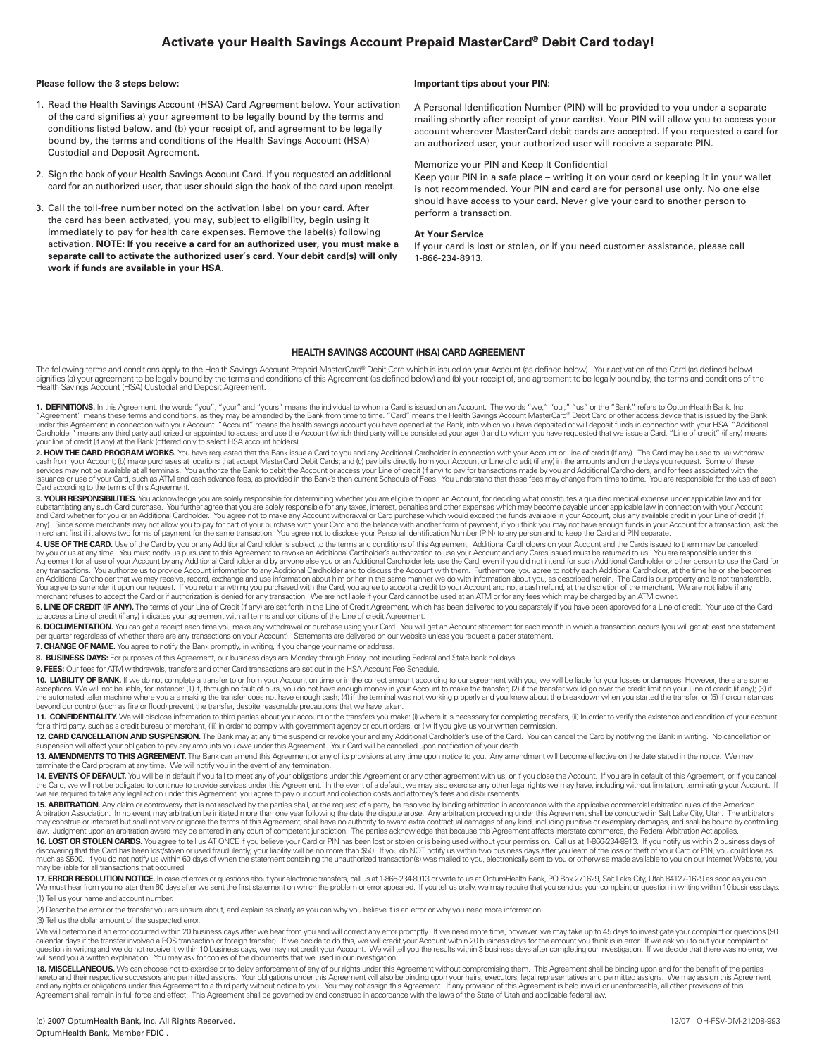### **Activate your Health Savings Account Prepaid MasterCard® Debit Card today!**

#### **Please follow the 3 steps below:**

- 1. Read the Health Savings Account (HSA) Card Agreement below. Your activation of the card signifies a) your agreement to be legally bound by the terms and conditions listed below, and (b) your receipt of, and agreement to be legally bound by, the terms and conditions of the Health Savings Account (HSA) Custodial and Deposit Agreement.
- 2. Sign the back of your Health Savings Account Card. If you requested an additional card for an authorized user, that user should sign the back of the card upon receipt.
- 3. Call the toll-free number noted on the activation label on your card. After the card has been activated, you may, subject to eligibility, begin using it immediately to pay for health care expenses. Remove the label(s) following activation. **NOTE: If you receive a card for an authorized user, you must make a separate call to activate the authorized user's card. Your debit card(s) will only work if funds are available in your HSA.**

#### **Important tips about your PIN:**

A Personal Identification Number (PIN) will be provided to you under a separate mailing shortly after receipt of your card(s). Your PIN will allow you to access your account wherever MasterCard debit cards are accepted. If you requested a card for an authorized user, your authorized user will receive a separate PIN.

#### Memorize your PIN and Keep It Confidential

Keep your PIN in a safe place – writing it on your card or keeping it in your wallet is not recommended. Your PIN and card are for personal use only. No one else should have access to your card. Never give your card to another person to perform a transaction.

#### **At Your Service**

If your card is lost or stolen, or if you need customer assistance, please call 1-866-234-8913.

#### **HEALTH SAVINGS ACCOUNT (HSA) CARD AGREEMENT**

The following terms and conditions apply to the Health Savings Account Prepaid MasterCard® Debit Card which is issued on your Account (as defined below). Your activation of the Card (as defined below) signifies (a) your agreement to be legally bound by the terms and conditions of this Agreement (as defined below) and (b) your receipt of, and agreement to be legally bound by, the terms and conditions of the<br>Health Saving

**1. DEFINITIONS.** In this Agreement, the words "you", "your" and "yours" means the individual to whom a Card is issued on an Account. The words "we," "our," "us" or the "Bank" refers to OptumHealth Bank, Inc.<br>"Agreement" m your line of credit (if any) at the Bank (offered only to select HSA account holders).

**2. HOW THE CARD PROGRAM WORKS.** You have requested that the Bank issue a Card to you and any Additional Cardholder in connection with your Account or Line of credit (if any). The Card may be used to: (a) withdraw<br>cash fro services may not be available at all terminals. You authorize the Bank to debit the Account or access your Line of credit (if any) to pay for transactions made by you and Additional Cardholders, and for fees associated wit Card according to the terms of this Agreement.

**3. YOUR RESPONSIBILITIES.** You acknowledge you are solely responsible for determining whether you are eligible to open an Account, for deciding what constitutes a qualified medical expense under applicable law and for<br>sub and Card whether for you or an Additional Cardholder. You agree not to make any Account withdrawal or Card purchase which would exceed the funds available in your Account, plus any available credit in your Line of credit (

4. USE OF THE CARD. Use of the Card by you or any Additional Cardholder is subject to the terms and conditions of this Agreement. Additional Cardholders on your Account and the Cards issued to them may be cancelled by you or us at any time. You must notify us pursuant to this Agreement to revoke an Additional Cardholder's authorization to use your Account and any Cards issued must be returned to us. You are responsible under this Agreement for all use of your Account by any Additional Cardholder and by anyone else you or an Additional Cardholder lets use the Card, even if you did not intend for such Additional Cardholder or other person to use the an Additional Cardholder that we may receive, record, exchange and use information about him or her in the same manner we do with information about you, as described herein. The Card is our property and is not transferable

**5. LINE OF CREDIT (IF ANY).** The terms of your Line of Credit (if any) are set forth in the Line of Credit Agreement, which has been delivered to you separately if you have been approved for a Line of credit. Your use of

6. DOCUMENTATION. You can get a receipt each time you make any withdrawal or purchase using your Card. You will get an Account statement for each month in which a transaction occurs (you will get at least one statement per quarter regardless of whether there are any transactions on your Account). Statements are delivered on our website unless you request a paper statement.

7. CHANGE OF NAME. You agree to notify the Bank promptly, in writing, if you change your name or address

**8. BUSINESS DAYS:** For purposes of this Agreement, our business days are Monday through Friday, not including Federal and State bank holidays.

**9. FEES:** Our fees for ATM withdrawals, transfers and other Card transactions are set out in the HSA Account Fee Schedule.

10. LIABILITY OF BANK. If we do not complete a transfer to or from your Account on time or in the correct amount according to our agreement with you, we will be liable for your losses or damages. However, there are some exceptions. We will not be liable, for instance: (1) if, through no fault of ours, you do not have enough money in your Account to make the transfer; (2) if the transfer would go over the credit limit on your Line of credi beyond our control (such as fire or flood) prevent the transfer, despite reasonable precautions that we have taken.

11. CONFIDENTIALITY. We will disclose information to third parties about your account or the transfers you make: (i) where it is necessary for completing transfers, (ii) In order to verify the existence and condition of yo for a third party, such as a credit bureau or merchant, (iii) in order to comply with government agency or court orders, or (iv) If you give us your written permission.

12. CARD CANCELLATION AND SUSPENSION. The Bank may at any time suspend or revoke your and any Additional Cardholder's use of the Card. You can cancel the Card by notifying the Bank in writing. No cancellation or suspension will affect your obligation to pay any amounts you owe under this Agreement. Your Card will be cancelled upon notifi cation of your death.

13. AMENDMENTS TO THIS AGREEMENT. The Bank can amend this Agreement or any of its provisions at any time upon notice to you. Any amendment will become effective on the date stated in the notice. We may terminate the Card program at any time. We will notify you in the event of any termination.

**14. EVENTS OF DEFAULT.** You will be in default if you fail to meet any of your obligations under this Agreement or any other agreement with us, or if you close the Account. If you are in default of this Agreement, or if y we are required to take any legal action under this Agreement, you agree to pay our court and collection costs and attorney's fees and disbursements.

**15. ARBITRATION.** Any claim or controversy that is not resolved by the parties shall, at the request of a party, be resolved by binding arbitration in accordance with the applicable commercial arbitration rules of the Ame may construe or interpret but shall not vary or ignore the terms of this Agreement, shall have no authority to award extra contractual damages of any kind, including punitive or exemplary damages, and shall be bound by con

**16. LOST OR STOLEN CARDS.** You agree to tell us AT ONCE if you believe your Card or PIN has been lost or stolen or is being used without your permission. Call us at 1-866-234-8913. If you notify us within 2 business days may be liable for all transactions that occurred.

**17. ERROR RESOLUTION NOTICE**. In case of errors or questions about your electronic transfers, call us at 1-866-234-8913 or write to us at OptumHealth Bank, PO Box 271629, Salt Lake City, Utah 84127-1629 as soon as you can (1) Tell us your name and account number.

(2) Describe the error or the transfer you are unsure about, and explain as clearly as you can why you believe it is an error or why you need more information.

(3) Tell us the dollar amount of the suspected error.

We will determine if an error occurred within 20 business days after we hear from you and will correct any error promptly. If we need more time, however, we may take up to 45 days to investigate your complaint or questions question in writing and we do not receive it within 10 business days, we may not credit your Account. We will tell you the results within 3 business days after completing our investigation. If we decide that there was no e

**18. MISCELLANEOUS.** We can choose not to exercise or to delay enforcement of any of our rights under this Agreement without compromising them. This Agreement shall be binding upon and for the benefit of the parties<br>hereto Agreement shall remain in full force and effect. This Agreement shall be governed by and construed in accordance with the laws of the State of Utah and applicable federal law.